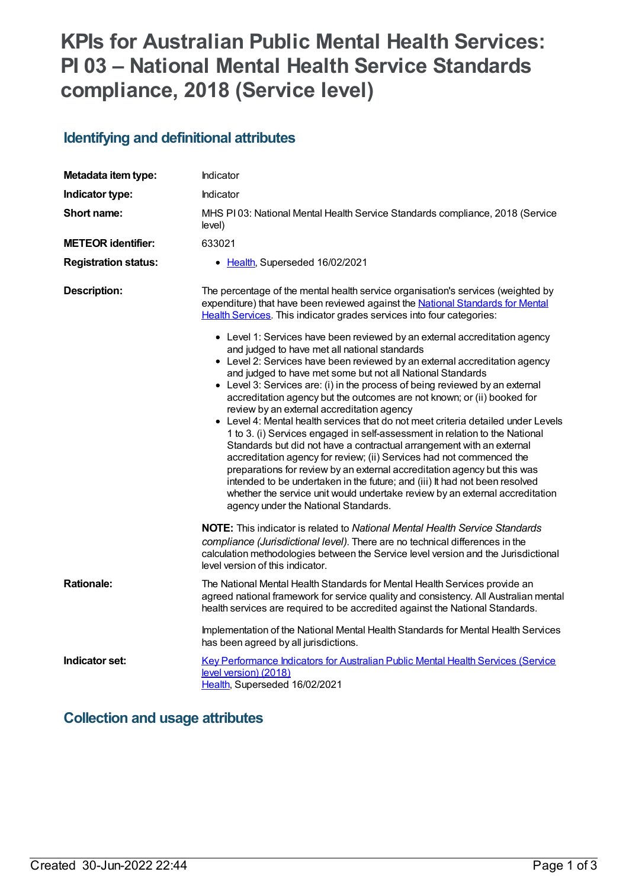# **KPIs for Australian Public Mental Health Services: PI 03 – National Mental Health Service Standards compliance, 2018 (Service level)**

# **Identifying and definitional attributes**

| Metadata item type:         | Indicator                                                                                                                                                                                                                                                                                                                                                                                                                                                                                                                                                                                                                                                                                                                                                                                                                                                                                                                                                                                                                                                                                                                                                                                                                                                                                                                               |
|-----------------------------|-----------------------------------------------------------------------------------------------------------------------------------------------------------------------------------------------------------------------------------------------------------------------------------------------------------------------------------------------------------------------------------------------------------------------------------------------------------------------------------------------------------------------------------------------------------------------------------------------------------------------------------------------------------------------------------------------------------------------------------------------------------------------------------------------------------------------------------------------------------------------------------------------------------------------------------------------------------------------------------------------------------------------------------------------------------------------------------------------------------------------------------------------------------------------------------------------------------------------------------------------------------------------------------------------------------------------------------------|
| Indicator type:             | Indicator                                                                                                                                                                                                                                                                                                                                                                                                                                                                                                                                                                                                                                                                                                                                                                                                                                                                                                                                                                                                                                                                                                                                                                                                                                                                                                                               |
| Short name:                 | MHS PI03: National Mental Health Service Standards compliance, 2018 (Service<br>level)                                                                                                                                                                                                                                                                                                                                                                                                                                                                                                                                                                                                                                                                                                                                                                                                                                                                                                                                                                                                                                                                                                                                                                                                                                                  |
| <b>METEOR identifier:</b>   | 633021                                                                                                                                                                                                                                                                                                                                                                                                                                                                                                                                                                                                                                                                                                                                                                                                                                                                                                                                                                                                                                                                                                                                                                                                                                                                                                                                  |
| <b>Registration status:</b> | • Health, Superseded 16/02/2021                                                                                                                                                                                                                                                                                                                                                                                                                                                                                                                                                                                                                                                                                                                                                                                                                                                                                                                                                                                                                                                                                                                                                                                                                                                                                                         |
| <b>Description:</b>         | The percentage of the mental health service organisation's services (weighted by<br>expenditure) that have been reviewed against the National Standards for Mental<br>Health Services. This indicator grades services into four categories:<br>• Level 1: Services have been reviewed by an external accreditation agency<br>and judged to have met all national standards<br>• Level 2: Services have been reviewed by an external accreditation agency<br>and judged to have met some but not all National Standards<br>• Level 3: Services are: (i) in the process of being reviewed by an external<br>accreditation agency but the outcomes are not known; or (ii) booked for<br>review by an external accreditation agency<br>• Level 4: Mental health services that do not meet criteria detailed under Levels<br>1 to 3. (i) Services engaged in self-assessment in relation to the National<br>Standards but did not have a contractual arrangement with an external<br>accreditation agency for review; (ii) Services had not commenced the<br>preparations for review by an external accreditation agency but this was<br>intended to be undertaken in the future; and (iii) It had not been resolved<br>whether the service unit would undertake review by an external accreditation<br>agency under the National Standards. |
|                             | <b>NOTE:</b> This indicator is related to <i>National Mental Health Service Standards</i><br>compliance (Jurisdictional level). There are no technical differences in the<br>calculation methodologies between the Service level version and the Jurisdictional<br>level version of this indicator.                                                                                                                                                                                                                                                                                                                                                                                                                                                                                                                                                                                                                                                                                                                                                                                                                                                                                                                                                                                                                                     |
| <b>Rationale:</b>           | The National Mental Health Standards for Mental Health Services provide an<br>agreed national framework for service quality and consistency. All Australian mental<br>health services are required to be accredited against the National Standards.                                                                                                                                                                                                                                                                                                                                                                                                                                                                                                                                                                                                                                                                                                                                                                                                                                                                                                                                                                                                                                                                                     |
|                             | Implementation of the National Mental Health Standards for Mental Health Services<br>has been agreed by all jurisdictions.                                                                                                                                                                                                                                                                                                                                                                                                                                                                                                                                                                                                                                                                                                                                                                                                                                                                                                                                                                                                                                                                                                                                                                                                              |
| Indicator set:              | Key Performance Indicators for Australian Public Mental Health Services (Service<br>level version) (2018)<br>Health, Superseded 16/02/2021                                                                                                                                                                                                                                                                                                                                                                                                                                                                                                                                                                                                                                                                                                                                                                                                                                                                                                                                                                                                                                                                                                                                                                                              |

### **Collection and usage attributes**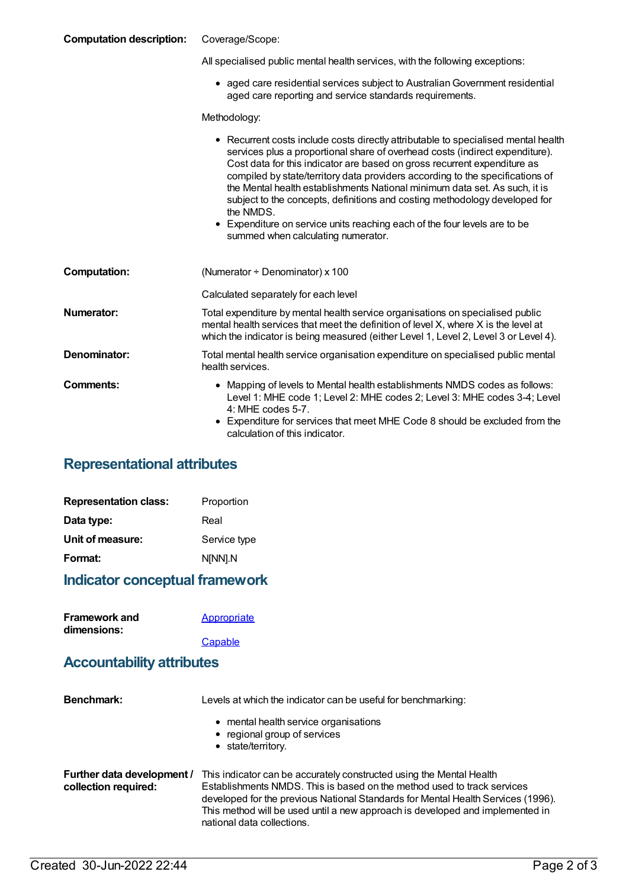#### **Computation description:** Coverage/Scope:

| All specialised public mental health services, with the following exceptions: |  |  |
|-------------------------------------------------------------------------------|--|--|

aged care residential services subject to AustralianGovernment residential aged care reporting and service standards requirements.

Methodology:

|                     | • Recurrent costs include costs directly attributable to specialised mental health<br>services plus a proportional share of overhead costs (indirect expenditure).<br>Cost data for this indicator are based on gross recurrent expenditure as<br>compiled by state/territory data providers according to the specifications of<br>the Mental health establishments National minimum data set. As such, it is<br>subject to the concepts, definitions and costing methodology developed for<br>the NMDS.<br>• Expenditure on service units reaching each of the four levels are to be<br>summed when calculating numerator. |
|---------------------|-----------------------------------------------------------------------------------------------------------------------------------------------------------------------------------------------------------------------------------------------------------------------------------------------------------------------------------------------------------------------------------------------------------------------------------------------------------------------------------------------------------------------------------------------------------------------------------------------------------------------------|
| <b>Computation:</b> | (Numerator $\div$ Denominator) x 100                                                                                                                                                                                                                                                                                                                                                                                                                                                                                                                                                                                        |
|                     | Calculated separately for each level                                                                                                                                                                                                                                                                                                                                                                                                                                                                                                                                                                                        |
| <b>Numerator:</b>   | Total expenditure by mental health service organisations on specialised public<br>mental health services that meet the definition of level X, where X is the level at<br>which the indicator is being measured (either Level 1, Level 2, Level 3 or Level 4).                                                                                                                                                                                                                                                                                                                                                               |
| Denominator:        | Total mental health service organisation expenditure on specialised public mental<br>health services.                                                                                                                                                                                                                                                                                                                                                                                                                                                                                                                       |
| Comments:           | • Mapping of levels to Mental health establishments NMDS codes as follows:<br>Level 1: MHE code 1; Level 2: MHE codes 2; Level 3: MHE codes 3-4; Level<br>$4:$ MHE codes 5-7.<br>Expenditure for services that meet MHE Code 8 should be excluded from the<br>calculation of this indicator.                                                                                                                                                                                                                                                                                                                                |

### **Representational attributes**

| <b>Representation class:</b> | Proportion   |
|------------------------------|--------------|
| Data type:                   | Real         |
| Unit of measure:             | Service type |
| Format:                      | N[NN].N      |

### **Indicator conceptual framework**

| <b>Framework and</b> | Appropriate |
|----------------------|-------------|
| dimensions:          |             |
|                      | Capable     |

#### **Accountability attributes**

| Benchmark:                                         | Levels at which the indicator can be useful for benchmarking:                                                                                                                                                                                                                                                                                      |  |
|----------------------------------------------------|----------------------------------------------------------------------------------------------------------------------------------------------------------------------------------------------------------------------------------------------------------------------------------------------------------------------------------------------------|--|
|                                                    | • mental health service organisations<br>• regional group of services<br>• state/territory.                                                                                                                                                                                                                                                        |  |
| Further data development /<br>collection required: | This indicator can be accurately constructed using the Mental Health<br>Establishments NMDS. This is based on the method used to track services<br>developed for the previous National Standards for Mental Health Services (1996).<br>This method will be used until a new approach is developed and implemented in<br>national data collections. |  |